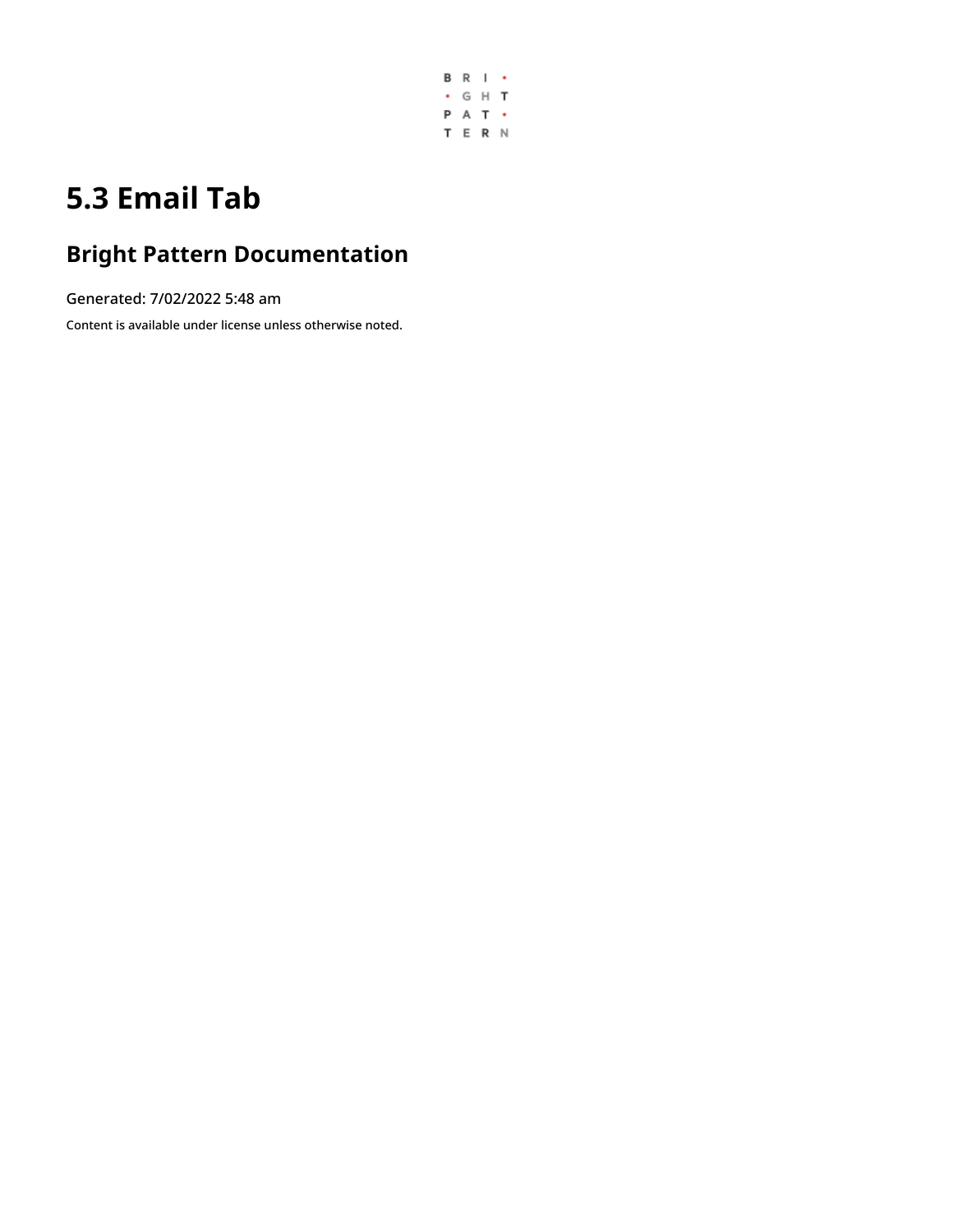

# **5.3 Email Tab**

## **Bright Pattern Documentation**

Generated: 7/02/2022 5:48 am

Content is available under license unless otherwise noted.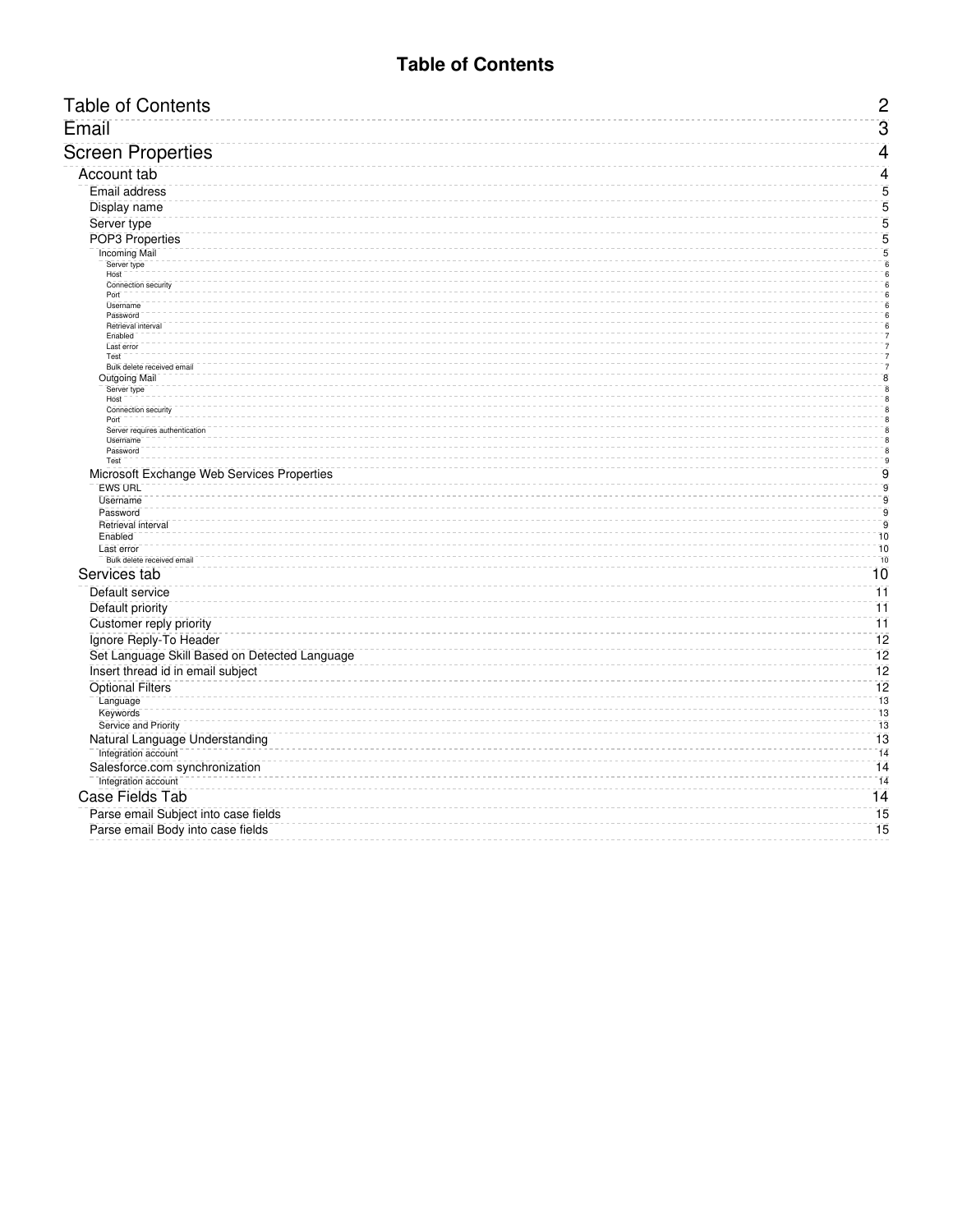### **Table of Contents**

<span id="page-1-0"></span>

| Email                                                          |  |
|----------------------------------------------------------------|--|
| <b>Screen Properties</b>                                       |  |
| Account tab                                                    |  |
| <b>Email address</b>                                           |  |
| Display name                                                   |  |
| Server type                                                    |  |
| POP3 Properties                                                |  |
| <b>Incoming Mail</b>                                           |  |
| Server type<br>Host                                            |  |
| Connection security                                            |  |
| Port<br><b>Username</b>                                        |  |
| Password                                                       |  |
| Retrieval interva<br>Enabled                                   |  |
| Last error                                                     |  |
| Test                                                           |  |
| Bulk delete received emai<br><b>Outgoing Mail</b>              |  |
| Server type                                                    |  |
| Host<br>Connection security                                    |  |
| Port                                                           |  |
| Server requires authentication                                 |  |
| Username<br>Password                                           |  |
| Test                                                           |  |
| Microsoft Exchange Web Services Properties                     |  |
| <b>EWS URL</b><br><b>Username</b>                              |  |
| Password                                                       |  |
| Retrieval interval                                             |  |
| Enabled                                                        |  |
| Last error<br>Bulk delete received email                       |  |
| Services tab                                                   |  |
| Default service                                                |  |
|                                                                |  |
| Default priority                                               |  |
| Customer reply priority                                        |  |
| Ignore Reply-To Header                                         |  |
| Set Language Skill Based on Detected Language                  |  |
|                                                                |  |
| Insert thread id in email subject                              |  |
| <b>Optional Filters</b>                                        |  |
| Language                                                       |  |
| Keywords                                                       |  |
| Service and Priority                                           |  |
| Natural Language Understanding                                 |  |
| Integration account                                            |  |
| Salesforce.com synchronization                                 |  |
| Integration account                                            |  |
| <b>Case Fields Tab</b><br>Parse email Subject into case fields |  |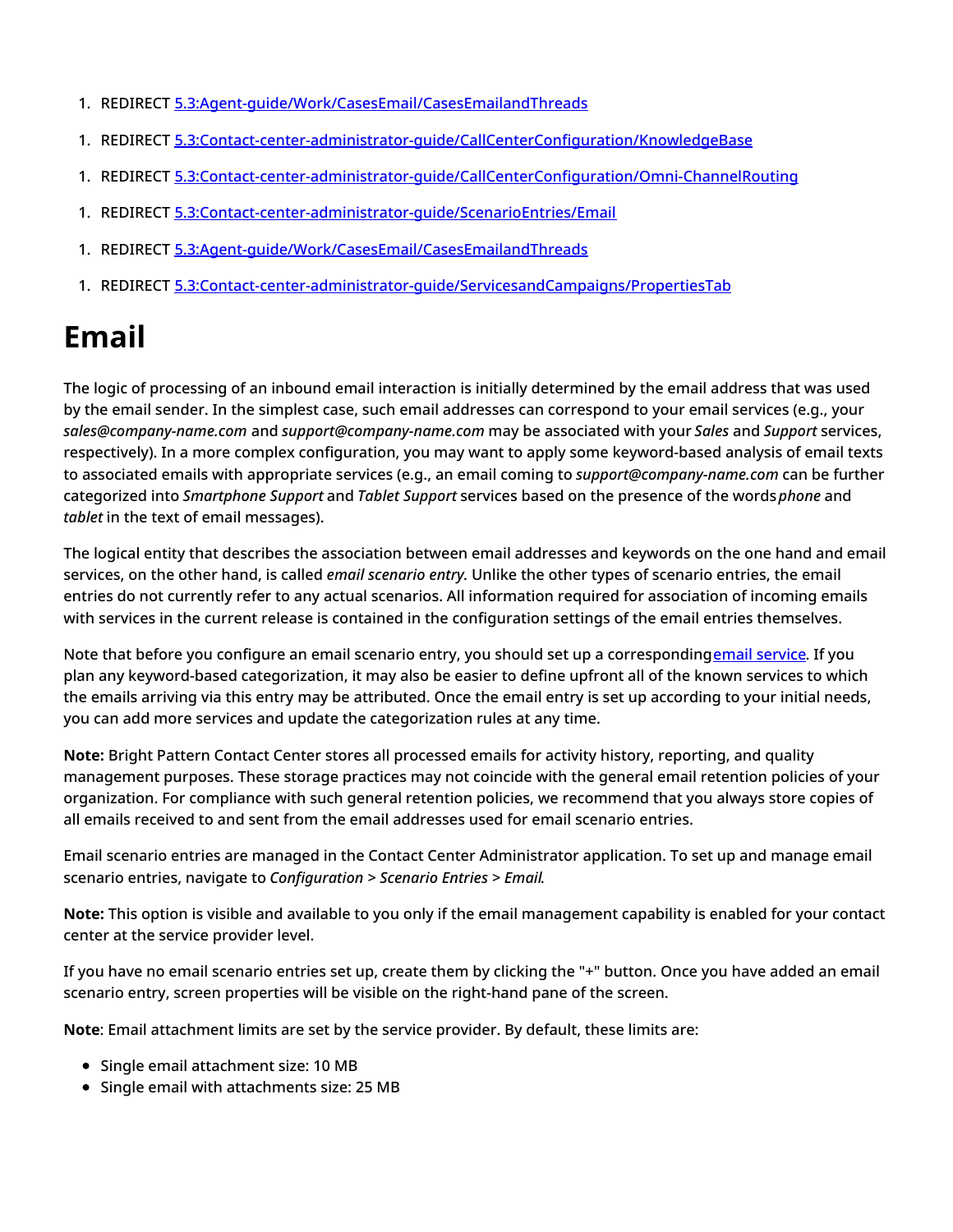- 1. REDIRECT [5.3:Agent-guide/Work/CasesEmail/CasesEmailandThreads](https://help.brightpattern.com/5.3:Agent-guide/Work/CasesEmail/CasesEmailandThreads)
- 1. REDIRECT [5.3:Contact-center-administrator-guide/CallCenterConfiguration/KnowledgeBase](https://help.brightpattern.com/5.3:Contact-center-administrator-guide/CallCenterConfiguration/KnowledgeBase)
- 1. REDIRECT [5.3:Contact-center-administrator-guide/CallCenterConfiguration/Omni-ChannelRouting](https://help.brightpattern.com/5.3:Contact-center-administrator-guide/CallCenterConfiguration/Omni-ChannelRouting)
- 1. REDIRECT [5.3:Contact-center-administrator-guide/ScenarioEntries/Email](https://help.brightpattern.com/5.3:Contact-center-administrator-guide/ScenarioEntries/Email)
- 1. REDIRECT [5.3:Agent-guide/Work/CasesEmail/CasesEmailandThreads](https://help.brightpattern.com/5.3:Agent-guide/Work/CasesEmail/CasesEmailandThreads)
- 1. REDIRECT [5.3:Contact-center-administrator-guide/ServicesandCampaigns/PropertiesTab](https://help.brightpattern.com/5.3:Contact-center-administrator-guide/ServicesandCampaigns/PropertiesTab)

# <span id="page-2-0"></span>**Email**

The logic of processing of an inbound email interaction is initially determined by the email address that was used by the email sender. In the simplest case, such email addresses can correspond to your email services (e.g., your *sales@company-name.com* and *support@company-name.com* may be associated with your *Sales* and *Support* services, respectively). In a more complex configuration, you may want to apply some keyword-based analysis of email texts to associated emails with appropriate services (e.g., an email coming to *support@company-name.com* can be further categorized into *Smartphone Support* and *Tablet Support* services based on the presence of the words*phone* and *tablet* in the text of email messages).

The logical entity that describes the association between email addresses and keywords on the one hand and email services, on the other hand, is called *email scenario entry.* Unlike the other types of scenario entries, the email entries do not currently refer to any actual scenarios. All information required for association of incoming emails with services in the current release is contained in the configuration settings of the email entries themselves.

Note that before you configure an email scenario entry, you should set up a correspondingemail [service.](https://help.brightpattern.com/5.3:Contact-center-administrator-guide/ServicesandCampaigns/EmailTab/?action=html-localimages-export#topic_contact-center-administrator-guide.2Fservicesandcampaignsoverview) If you plan any keyword-based categorization, it may also be easier to define upfront all of the known services to which the emails arriving via this entry may be attributed. Once the email entry is set up according to your initial needs, you can add more services and update the categorization rules at any time.

**Note:** Bright Pattern Contact Center stores all processed emails for activity history, reporting, and quality management purposes. These storage practices may not coincide with the general email retention policies of your organization. For compliance with such general retention policies, we recommend that you always store copies of all emails received to and sent from the email addresses used for email scenario entries.

Email scenario entries are managed in the Contact Center Administrator application. To set up and manage email scenario entries, navigate to *Configuration > Scenario Entries > Email*.

**Note:** This option is visible and available to you only if the email management capability is enabled for your contact center at the service provider level.

If you have no email scenario entries set up, create them by clicking the "+" button. Once you have added an email scenario entry, screen properties will be visible on the right-hand pane of the screen.

**Note**: Email attachment limits are set by the service provider. By default, these limits are:

- Single email attachment size: 10 MB
- Single email with attachments size: 25 MB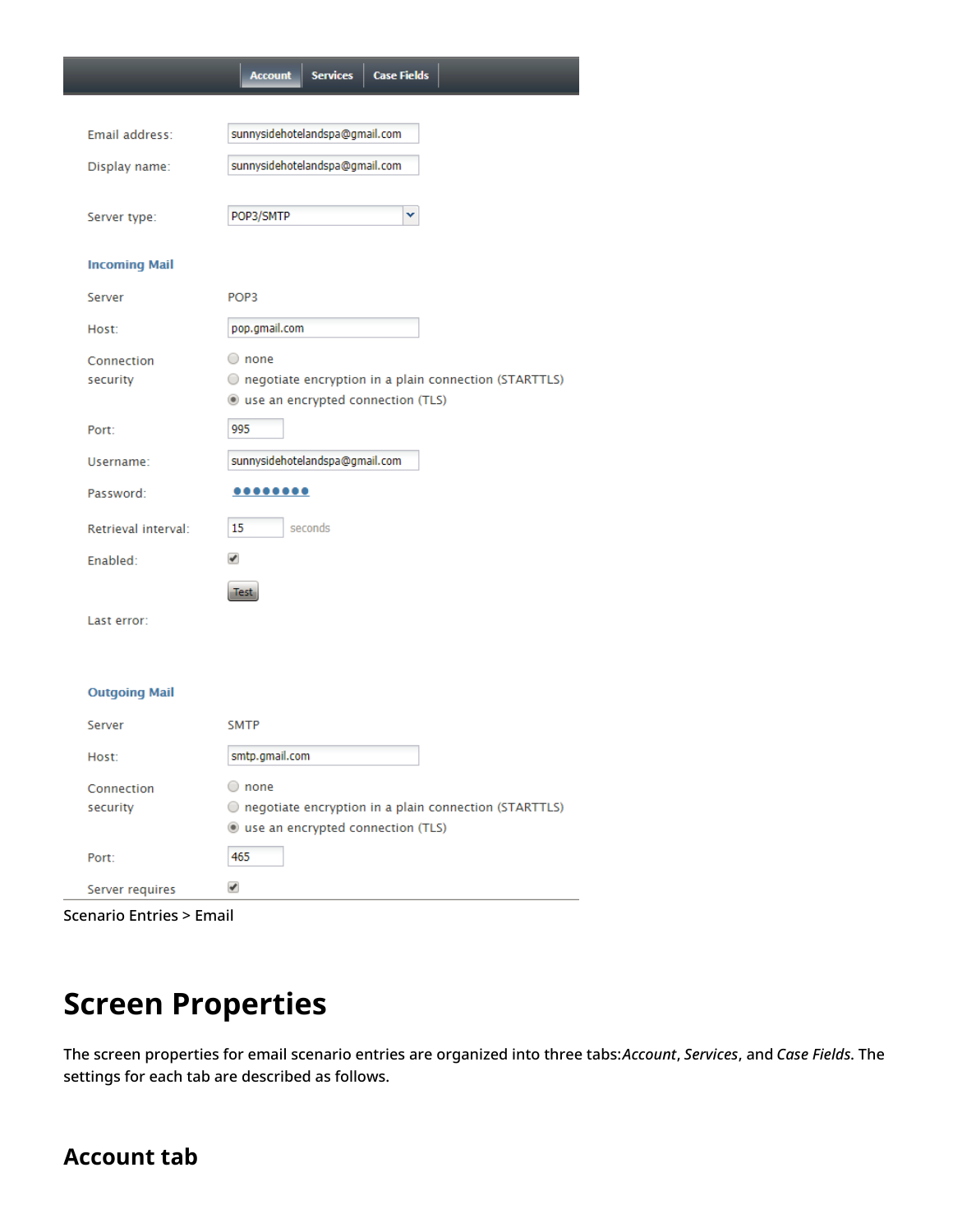|                      | <b>Case Fields</b><br><b>Services</b><br><b>Account</b> |  |  |  |
|----------------------|---------------------------------------------------------|--|--|--|
|                      |                                                         |  |  |  |
| Email address:       | sunnysidehotelandspa@gmail.com                          |  |  |  |
| Display name:        | sunnysidehotelandspa@gmail.com                          |  |  |  |
|                      |                                                         |  |  |  |
| Server type:         | POP3/SMTP<br>v                                          |  |  |  |
| <b>Incoming Mail</b> |                                                         |  |  |  |
| Server               | POP <sub>3</sub>                                        |  |  |  |
| Host:                | pop.gmail.com                                           |  |  |  |
| Connection           | $\bigcirc$ none                                         |  |  |  |
| security             | O negotiate encryption in a plain connection (STARTTLS) |  |  |  |
|                      | le use an encrypted connection (TLS)                    |  |  |  |
| Port:                | 995                                                     |  |  |  |
| Username:            | sunnysidehotelandspa@gmail.com                          |  |  |  |
| Password:            | 00000000                                                |  |  |  |
| Retrieval interval:  | 15<br>seconds                                           |  |  |  |
| Enabled:             | ✔                                                       |  |  |  |
|                      | <b>Test</b>                                             |  |  |  |
| Last error:          |                                                         |  |  |  |
|                      |                                                         |  |  |  |
| <b>Outgoing Mail</b> |                                                         |  |  |  |
|                      |                                                         |  |  |  |
| Server               | <b>SMTP</b>                                             |  |  |  |
| Host:                | smtp.gmail.com                                          |  |  |  |
| Connection           | $\bigcirc$ none                                         |  |  |  |
| security             | O negotiate encryption in a plain connection (STARTTLS) |  |  |  |
|                      | lacktriangleright use an encrypted connection (TLS)     |  |  |  |
| Port:                | 465                                                     |  |  |  |
| Server requires      | ✔                                                       |  |  |  |

# <span id="page-3-0"></span>**Screen Properties**

The screen properties for email scenario entries are organized into three tabs:*Account*, *Services*, and *Case Fields*. The settings for each tab are described as follows.

## <span id="page-3-1"></span>**Account tab**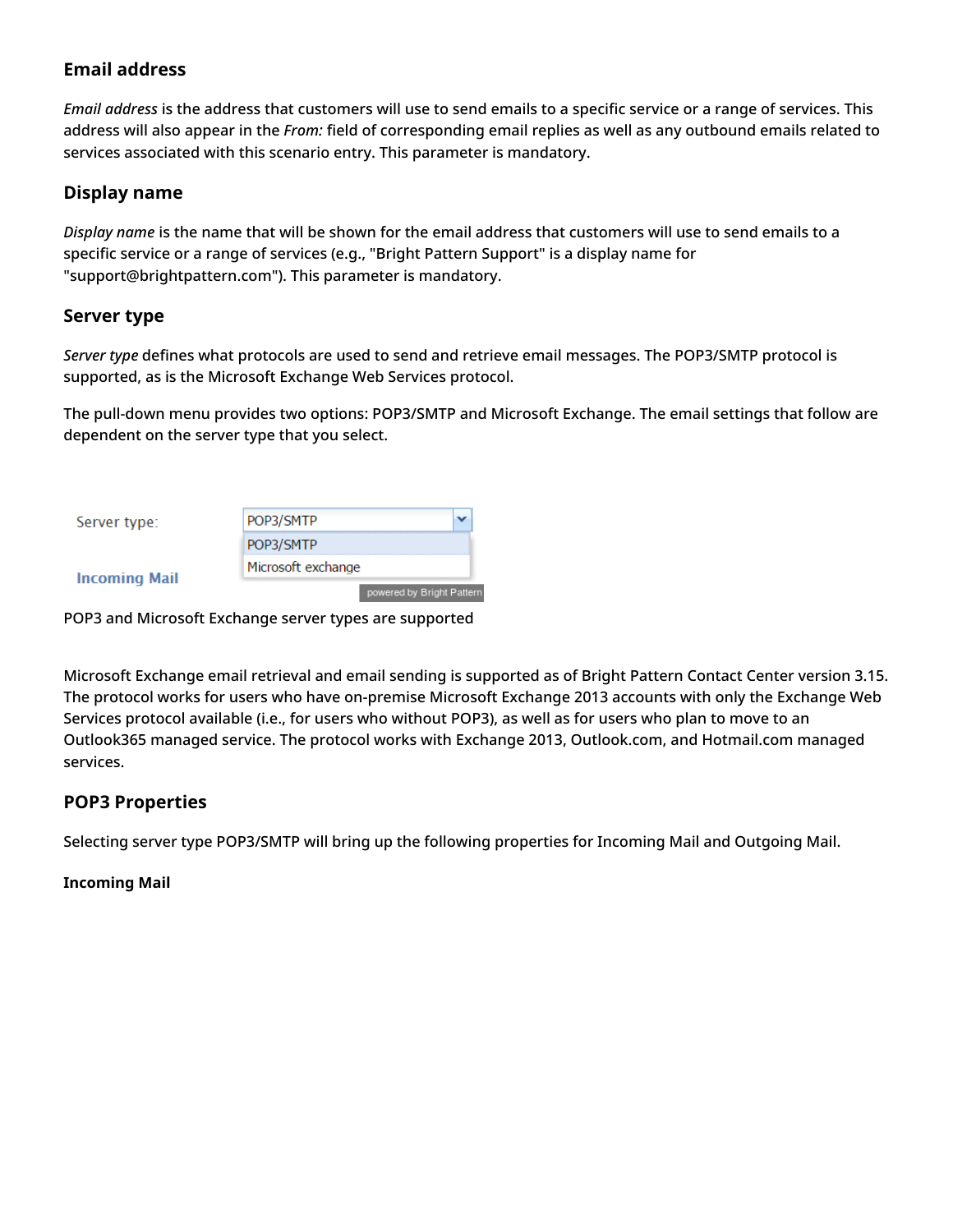### <span id="page-4-0"></span>**Email address**

*Email address* is the address that customers will use to send emails to a specific service or a range of services. This address will also appear in the *From:* field of corresponding email replies as well as any outbound emails related to services associated with this scenario entry. This parameter is mandatory.

### <span id="page-4-1"></span>**Display name**

*Display name* is the name that will be shown for the email address that customers will use to send emails to a specific service or a range of services (e.g., "Bright Pattern Support" is a display name for "support@brightpattern.com"). This parameter is mandatory.

### <span id="page-4-2"></span>**Server type**

*Server type* defines what protocols are used to send and retrieve email messages. The POP3/SMTP protocol is supported, as is the Microsoft Exchange Web Services protocol.

The pull-down menu provides two options: POP3/SMTP and Microsoft Exchange. The email settings that follow are dependent on the server type that you select.

| Server type:         | POP3/SMTP                 |
|----------------------|---------------------------|
|                      | POP3/SMTP                 |
|                      | Microsoft exchange        |
| <b>Incoming Mail</b> | powered by Bright Pattern |

POP3 and Microsoft Exchange server types are supported

Microsoft Exchange email retrieval and email sending is supported as of Bright Pattern Contact Center version 3.15. The protocol works for users who have on-premise Microsoft Exchange 2013 accounts with only the Exchange Web Services protocol available (i.e., for users who without POP3), as well as for users who plan to move to an Outlook365 managed service. The protocol works with Exchange 2013, Outlook.com, and Hotmail.com managed services.

### <span id="page-4-3"></span>**POP3 Properties**

Selecting server type POP3/SMTP will bring up the following properties for Incoming Mail and Outgoing Mail.

### <span id="page-4-4"></span>**Incoming Mail**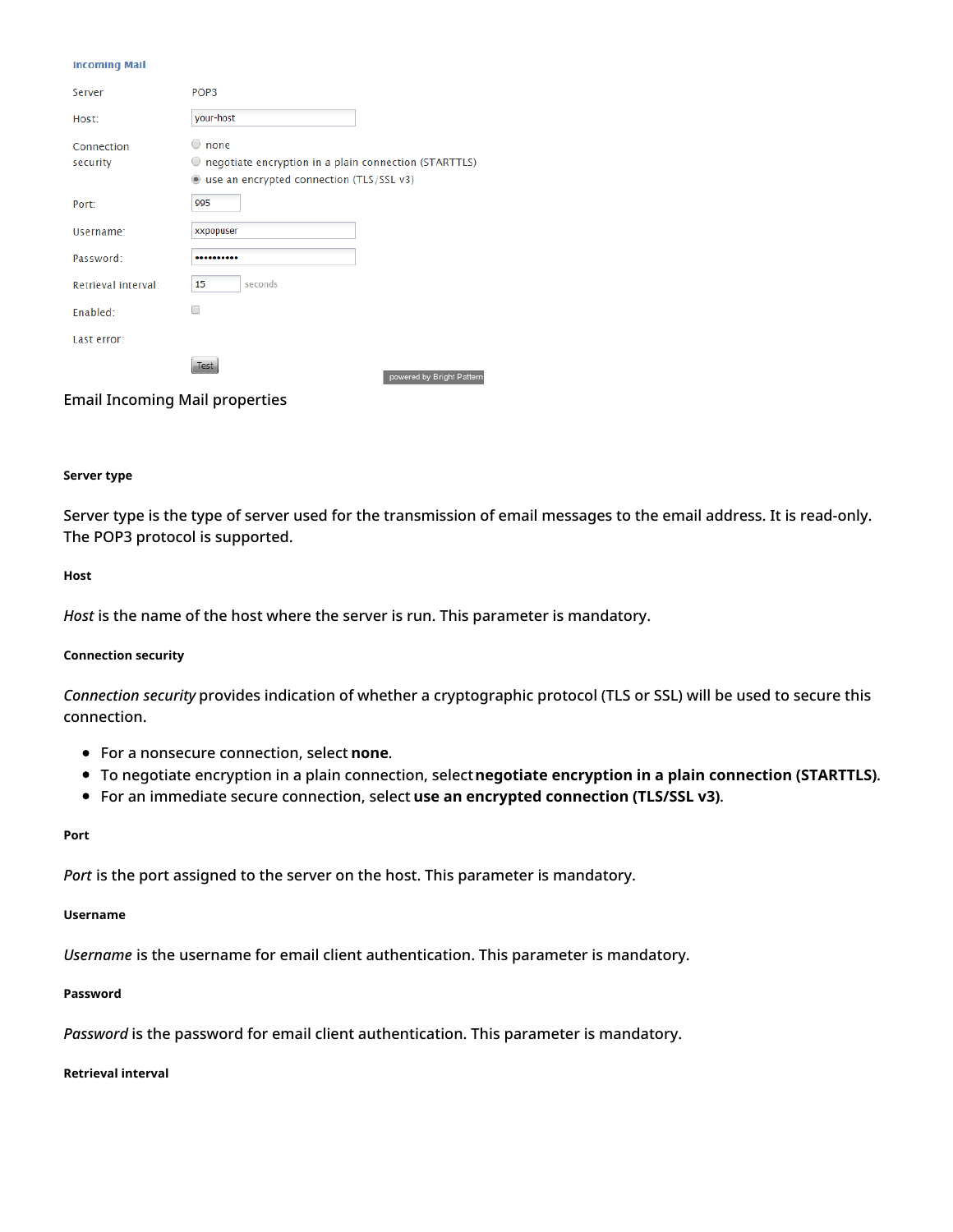#### **Incoming Mail**

| Server                 | POP <sub>3</sub>                                                                                                        |
|------------------------|-------------------------------------------------------------------------------------------------------------------------|
| Host:                  | your-host                                                                                                               |
| Connection<br>security | none<br>negotiate encryption in a plain connection (STARTTLS)<br>use an encrypted connection (TLS/SSL v3)<br>$^{\circ}$ |
| Port:                  | 995                                                                                                                     |
| Username:              | xxpopuser                                                                                                               |
| Password:              |                                                                                                                         |
| Retrieval interval:    | seconds<br>15                                                                                                           |
| Enabled:               |                                                                                                                         |
| Last error:            |                                                                                                                         |
|                        | es:<br>powered by Bright Pattern                                                                                        |

Email Incoming Mail properties

#### <span id="page-5-0"></span>**Server type**

Server type is the type of server used for the transmission of email messages to the email address. It is read-only. The POP3 protocol is supported.

#### <span id="page-5-1"></span>**Host**

*Host* is the name of the host where the server is run. This parameter is mandatory.

#### <span id="page-5-2"></span>**Connection security**

*Connection security* provides indication of whether a cryptographic protocol (TLS or SSL) will be used to secure this connection.

- For a nonsecure connection, select **none**.
- To negotiate encryption in a plain connection, select**negotiate encryption in a plain connection (STARTTLS)**.
- For an immediate secure connection, select **use an encrypted connection (TLS/SSL v3)**.

#### <span id="page-5-3"></span>**Port**

*Port* is the port assigned to the server on the host. This parameter is mandatory.

#### <span id="page-5-4"></span>**Username**

*Username* is the username for email client authentication. This parameter is mandatory.

#### <span id="page-5-5"></span>**Password**

*Password* is the password for email client authentication. This parameter is mandatory.

#### <span id="page-5-6"></span>**Retrieval interval**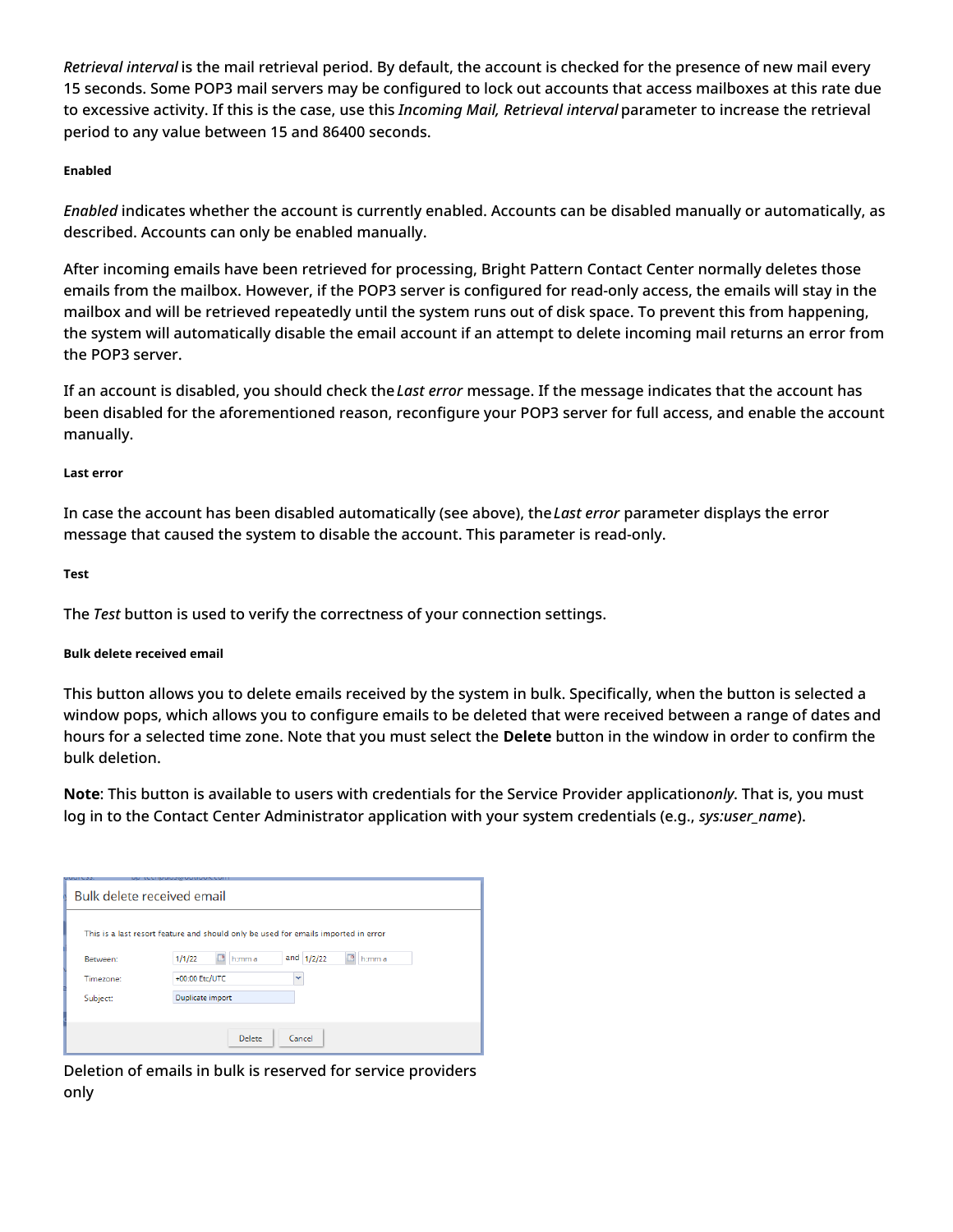*Retrieval interval* is the mail retrieval period. By default, the account is checked for the presence of new mail every 15 seconds. Some POP3 mail servers may be configured to lock out accounts that access mailboxes at this rate due to excessive activity. If this is the case, use this *Incoming Mail, Retrieval interval* parameter to increase the retrieval period to any value between 15 and 86400 seconds.

#### <span id="page-6-0"></span>**Enabled**

*Enabled* indicates whether the account is currently enabled. Accounts can be disabled manually or automatically, as described. Accounts can only be enabled manually.

After incoming emails have been retrieved for processing, Bright Pattern Contact Center normally deletes those emails from the mailbox. However, if the POP3 server is configured for read-only access, the emails will stay in the mailbox and will be retrieved repeatedly until the system runs out of disk space. To prevent this from happening, the system will automatically disable the email account if an attempt to delete incoming mail returns an error from the POP3 server.

If an account is disabled, you should check the*Last error* message. If the message indicates that the account has been disabled for the aforementioned reason, reconfigure your POP3 server for full access, and enable the account manually.

#### <span id="page-6-1"></span>**Last error**

In case the account has been disabled automatically (see above), the*Last error* parameter displays the error message that caused the system to disable the account. This parameter is read-only.

<span id="page-6-2"></span>**Test**

The *Test* button is used to verify the correctness of your connection settings.

#### <span id="page-6-3"></span>**Bulk delete received email**

This button allows you to delete emails received by the system in bulk. Specifically, when the button is selected a window pops, which allows you to configure emails to be deleted that were received between a range of dates and hours for a selected time zone. Note that you must select the **Delete** button in the window in order to confirm the bulk deletion.

**Note**: This button is available to users with credentials for the Service Provider application*only*. That is, you must log in to the Contact Center Administrator application with your system credentials (e.g., *sys:user\_name*).

| Bulk delete received email                                                         |                                                 |  |  |
|------------------------------------------------------------------------------------|-------------------------------------------------|--|--|
| This is a last resort feature and should only be used for emails imported in error |                                                 |  |  |
| Between:                                                                           | and $1/2/22$<br>ఆ<br>1/1/22<br>h:mm a<br>h:mm a |  |  |
| Timezone:                                                                          | +00:00 Etc/UTC<br>v                             |  |  |
| Subject:                                                                           | Duplicate import                                |  |  |
|                                                                                    |                                                 |  |  |
|                                                                                    | Delete<br>Cancel                                |  |  |

Deletion of emails in bulk is reserved for service providers only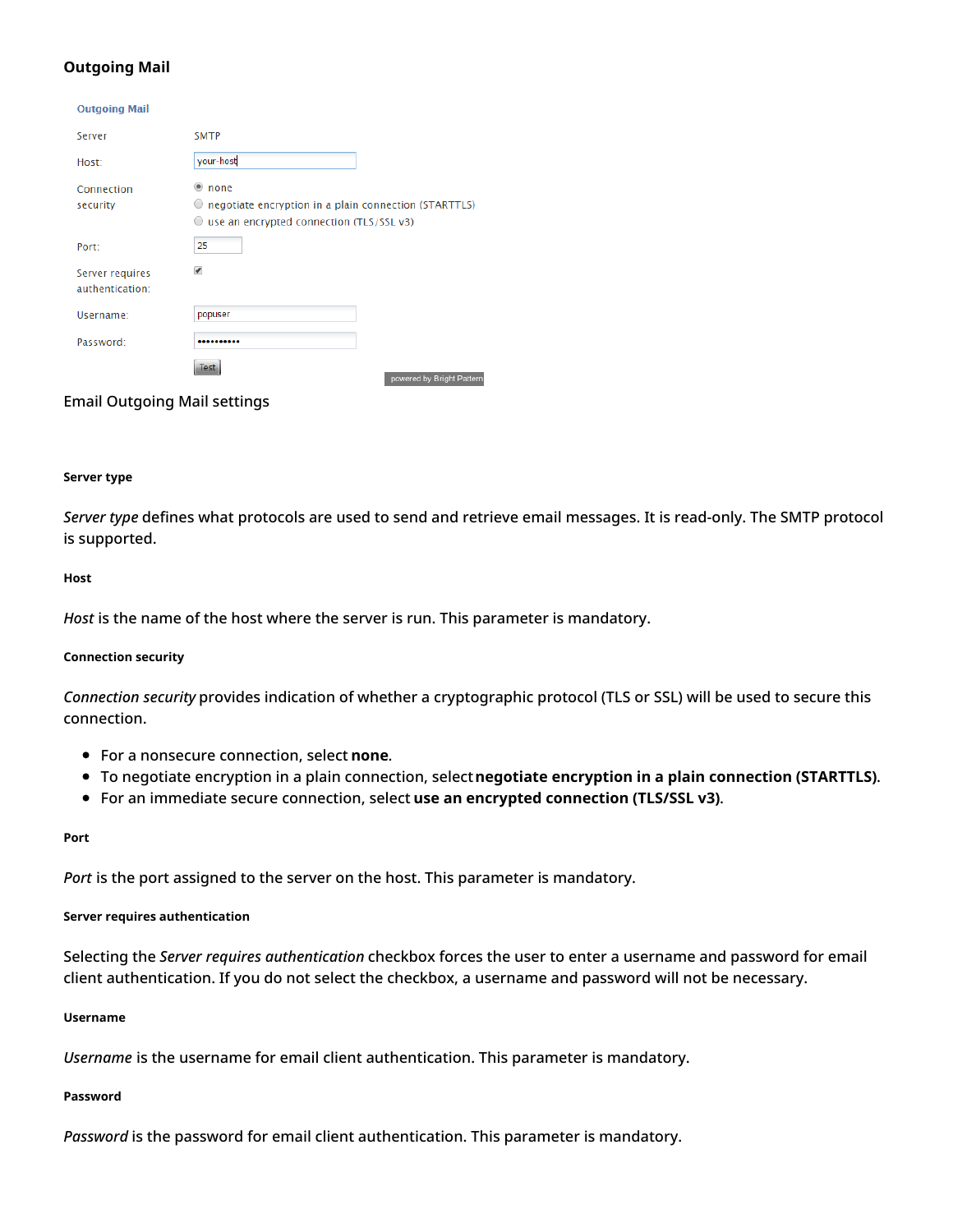### <span id="page-7-0"></span>**Outgoing Mail**

#### **Outgoing Mail**

| Server                             | <b>SMTP</b>                                                                                                          |
|------------------------------------|----------------------------------------------------------------------------------------------------------------------|
| Host:                              | your-host                                                                                                            |
| Connection<br>security             | none<br>negotiate encryption in a plain connection (STARTTLS)<br>use an encrypted connection (TLS/SSL v3)<br>$\circ$ |
| Port:                              | 25                                                                                                                   |
| Server requires<br>authentication: | $\overline{\mathcal{L}}$                                                                                             |
| Username:                          | popuser                                                                                                              |
| Password:                          |                                                                                                                      |
|                                    | Test<br>powered by Bright Pattern                                                                                    |

#### Email Outgoing Mail settings

#### <span id="page-7-1"></span>**Server type**

*Server type* defines what protocols are used to send and retrieve email messages. It is read-only. The SMTP protocol is supported.

#### <span id="page-7-2"></span>**Host**

*Host* is the name of the host where the server is run. This parameter is mandatory.

#### <span id="page-7-3"></span>**Connection security**

*Connection security* provides indication of whether a cryptographic protocol (TLS or SSL) will be used to secure this connection.

- For a nonsecure connection, select **none**.
- To negotiate encryption in a plain connection, select**negotiate encryption in a plain connection (STARTTLS)**.
- For an immediate secure connection, select **use an encrypted connection (TLS/SSL v3)**.

#### <span id="page-7-4"></span>**Port**

*Port* is the port assigned to the server on the host. This parameter is mandatory.

#### <span id="page-7-5"></span>**Server requires authentication**

Selecting the *Server requires authentication* checkbox forces the user to enter a username and password for email client authentication. If you do not select the checkbox, a username and password will not be necessary.

#### <span id="page-7-6"></span>**Username**

*Username* is the username for email client authentication. This parameter is mandatory.

#### <span id="page-7-7"></span>**Password**

*Password* is the password for email client authentication. This parameter is mandatory.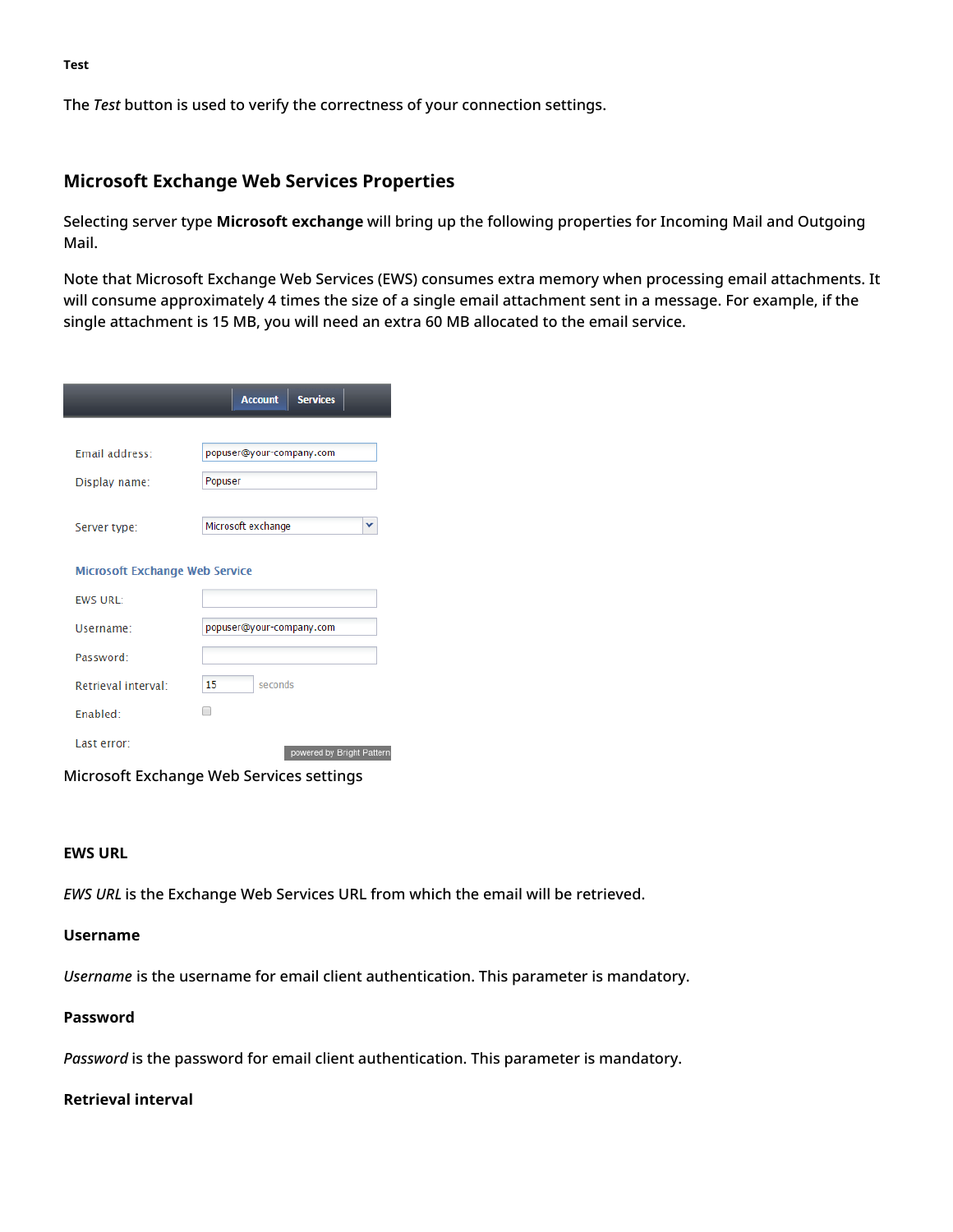The *Test* button is used to verify the correctness of your connection settings.

### <span id="page-8-1"></span>**Microsoft Exchange Web Services Properties**

Selecting server type **Microsoft exchange** will bring up the following properties for Incoming Mail and Outgoing Mail.

Note that Microsoft Exchange Web Services (EWS) consumes extra memory when processing email attachments. It will consume approximately 4 times the size of a single email attachment sent in a message. For example, if the single attachment is 15 MB, you will need an extra 60 MB allocated to the email service.

|                                       | <b>Services</b><br><b>Account</b> |
|---------------------------------------|-----------------------------------|
|                                       |                                   |
| Email address:                        | popuser@your-company.com          |
| Display name:                         | Popuser                           |
|                                       |                                   |
| Server type:                          | Microsoft exchange<br>v           |
| <b>Microsoft Exchange Web Service</b> |                                   |
| <b>FWS URL:</b>                       |                                   |
| Username:                             | popuser@your-company.com          |
| Password:                             |                                   |
| Retrieval interval:                   | 15<br>seconds                     |
| Fnabled:                              | ┓                                 |
| Last error:                           | powered by Rright Detterr         |

Microsoft Exchange Web Services settings

### <span id="page-8-2"></span>**EWS URL**

*EWS URL* is the Exchange Web Services URL from which the email will be retrieved.

### <span id="page-8-3"></span>**Username**

*Username* is the username for email client authentication. This parameter is mandatory.

### <span id="page-8-4"></span>**Password**

*Password* is the password for email client authentication. This parameter is mandatory.

### <span id="page-8-5"></span>**Retrieval interval**

<span id="page-8-0"></span>**Test**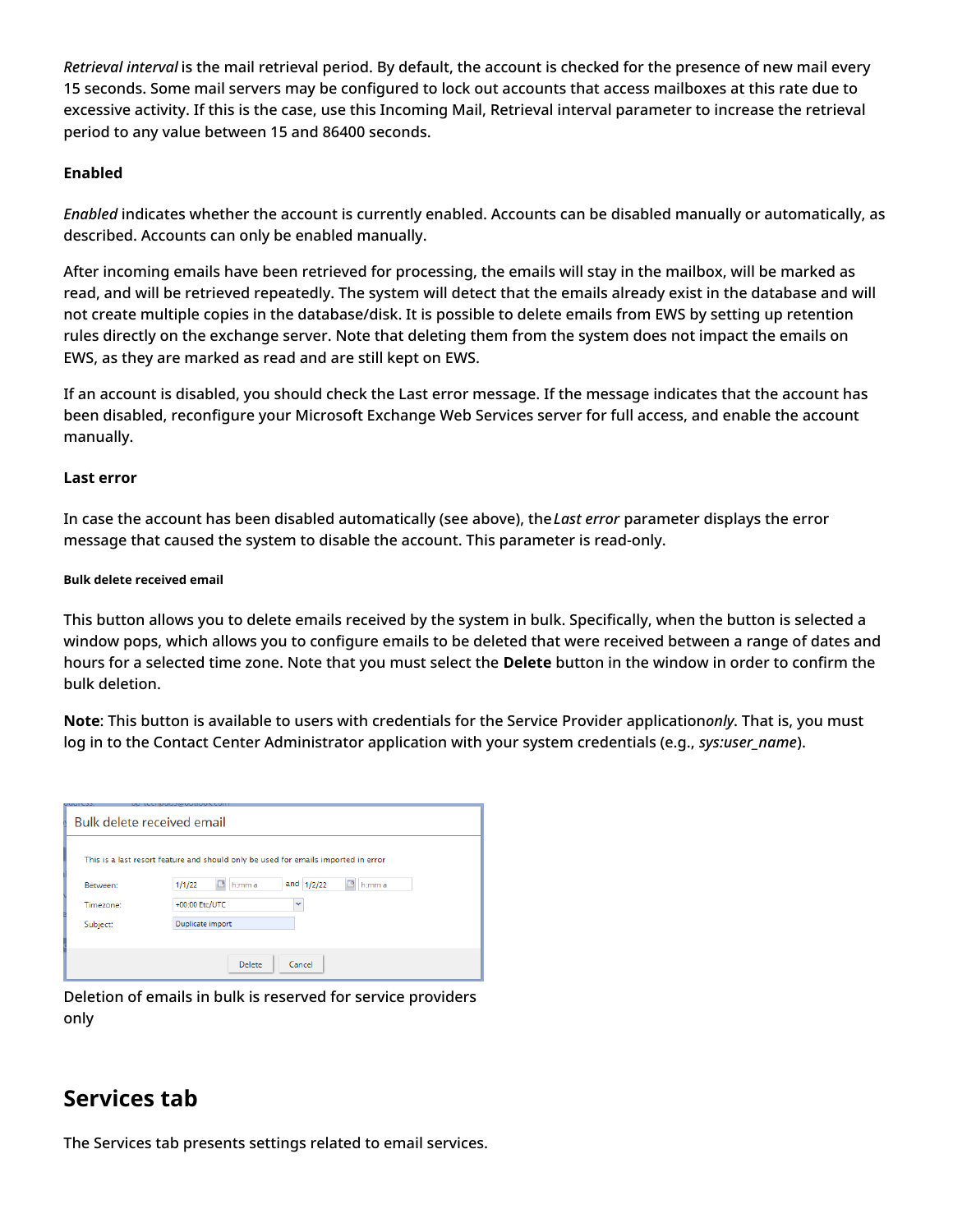*Retrieval interval* is the mail retrieval period. By default, the account is checked for the presence of new mail every 15 seconds. Some mail servers may be configured to lock out accounts that access mailboxes at this rate due to excessive activity. If this is the case, use this Incoming Mail, Retrieval interval parameter to increase the retrieval period to any value between 15 and 86400 seconds.

### <span id="page-9-0"></span>**Enabled**

*Enabled* indicates whether the account is currently enabled. Accounts can be disabled manually or automatically, as described. Accounts can only be enabled manually.

After incoming emails have been retrieved for processing, the emails will stay in the mailbox, will be marked as read, and will be retrieved repeatedly. The system will detect that the emails already exist in the database and will not create multiple copies in the database/disk. It is possible to delete emails from EWS by setting up retention rules directly on the exchange server. Note that deleting them from the system does not impact the emails on EWS, as they are marked as read and are still kept on EWS.

If an account is disabled, you should check the Last error message. If the message indicates that the account has been disabled, reconfigure your Microsoft Exchange Web Services server for full access, and enable the account manually.

### <span id="page-9-1"></span>**Last error**

In case the account has been disabled automatically (see above), the*Last error* parameter displays the error message that caused the system to disable the account. This parameter is read-only.

#### <span id="page-9-2"></span>**Bulk delete received email**

This button allows you to delete emails received by the system in bulk. Specifically, when the button is selected a window pops, which allows you to configure emails to be deleted that were received between a range of dates and hours for a selected time zone. Note that you must select the **Delete** button in the window in order to confirm the bulk deletion.

**Note**: This button is available to users with credentials for the Service Provider application*only*. That is, you must log in to the Contact Center Administrator application with your system credentials (e.g., *sys:user\_name*).

| Bulk delete received email |                                                                                    |  |  |
|----------------------------|------------------------------------------------------------------------------------|--|--|
|                            | This is a last resort feature and should only be used for emails imported in error |  |  |
| Between:                   | and $1/2/22$<br>1/1/22<br>h:mm a<br>⊡<br>h:mm a                                    |  |  |
| Timezone:                  | +00:00 Etc/UTC<br>v                                                                |  |  |
| Subject:                   | Duplicate import                                                                   |  |  |
|                            |                                                                                    |  |  |
|                            | Delete<br>Cancel                                                                   |  |  |

Deletion of emails in bulk is reserved for service providers only

## <span id="page-9-3"></span>**Services tab**

The Services tab presents settings related to email services.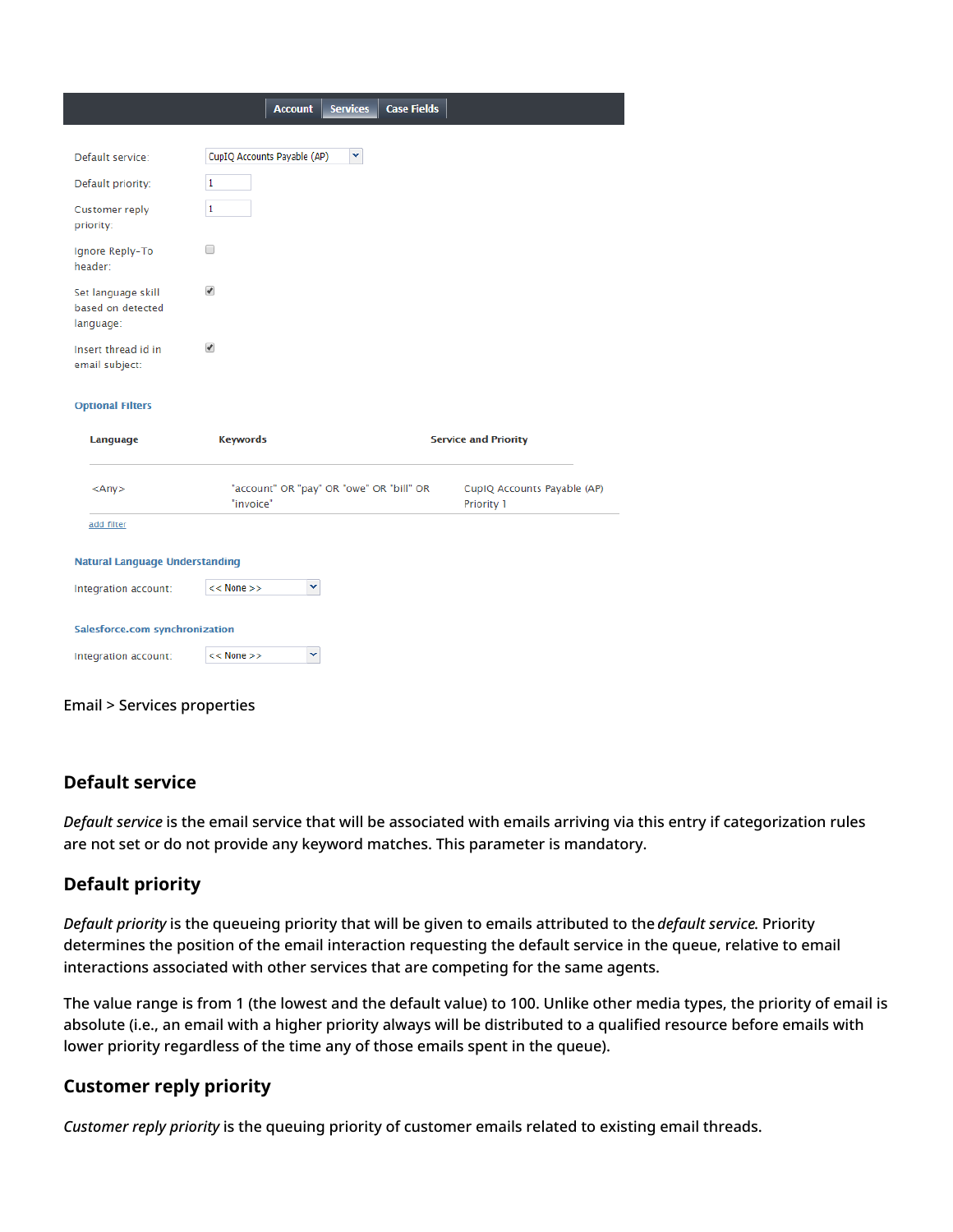|                                                      | <b>Account</b>                                        | <b>Services</b> | <b>Case Fields</b> |                                           |
|------------------------------------------------------|-------------------------------------------------------|-----------------|--------------------|-------------------------------------------|
|                                                      |                                                       |                 |                    |                                           |
| Default service:                                     | CupIQ Accounts Payable (AP)                           | v               |                    |                                           |
| Default priority:                                    | 1                                                     |                 |                    |                                           |
| Customer reply<br>priority:                          | $\mathbf{1}$                                          |                 |                    |                                           |
| Ignore Reply-To<br>header:                           | ∩                                                     |                 |                    |                                           |
| Set language skill<br>based on detected<br>language: | $\overline{\mathscr{C}}$                              |                 |                    |                                           |
| Insert thread id in<br>email subject:                | $\blacktriangledown$                                  |                 |                    |                                           |
| <b>Optional Filters</b>                              |                                                       |                 |                    |                                           |
| Language                                             | <b>Keywords</b>                                       |                 |                    | <b>Service and Priority</b>               |
| $<$ Any $>$                                          | "account" OR "pay" OR "owe" OR "bill" OR<br>"invoice" |                 |                    | CupIQ Accounts Payable (AP)<br>Priority 1 |
| add filter                                           |                                                       |                 |                    |                                           |
| <b>Natural Language Understanding</b>                |                                                       |                 |                    |                                           |
| Integration account:                                 | v<br>$<<$ None $>>$                                   |                 |                    |                                           |
| Salesforce.com synchronization                       |                                                       |                 |                    |                                           |
| Integration account:                                 | v<br>$<<$ None $>>$                                   |                 |                    |                                           |
|                                                      |                                                       |                 |                    |                                           |

#### Email > Services properties

### <span id="page-10-0"></span>**Default service**

*Default service* is the email service that will be associated with emails arriving via this entry if categorization rules are not set or do not provide any keyword matches. This parameter is mandatory.

### <span id="page-10-1"></span>**Default priority**

*Default priority* is the queueing priority that will be given to emails attributed to the *default service*. Priority determines the position of the email interaction requesting the default service in the queue, relative to email interactions associated with other services that are competing for the same agents.

The value range is from 1 (the lowest and the default value) to 100. Unlike other media types, the priority of email is absolute (i.e., an email with a higher priority always will be distributed to a qualified resource before emails with lower priority regardless of the time any of those emails spent in the queue).

### <span id="page-10-2"></span>**Customer reply priority**

*Customer reply priority* is the queuing priority of customer emails related to existing email threads.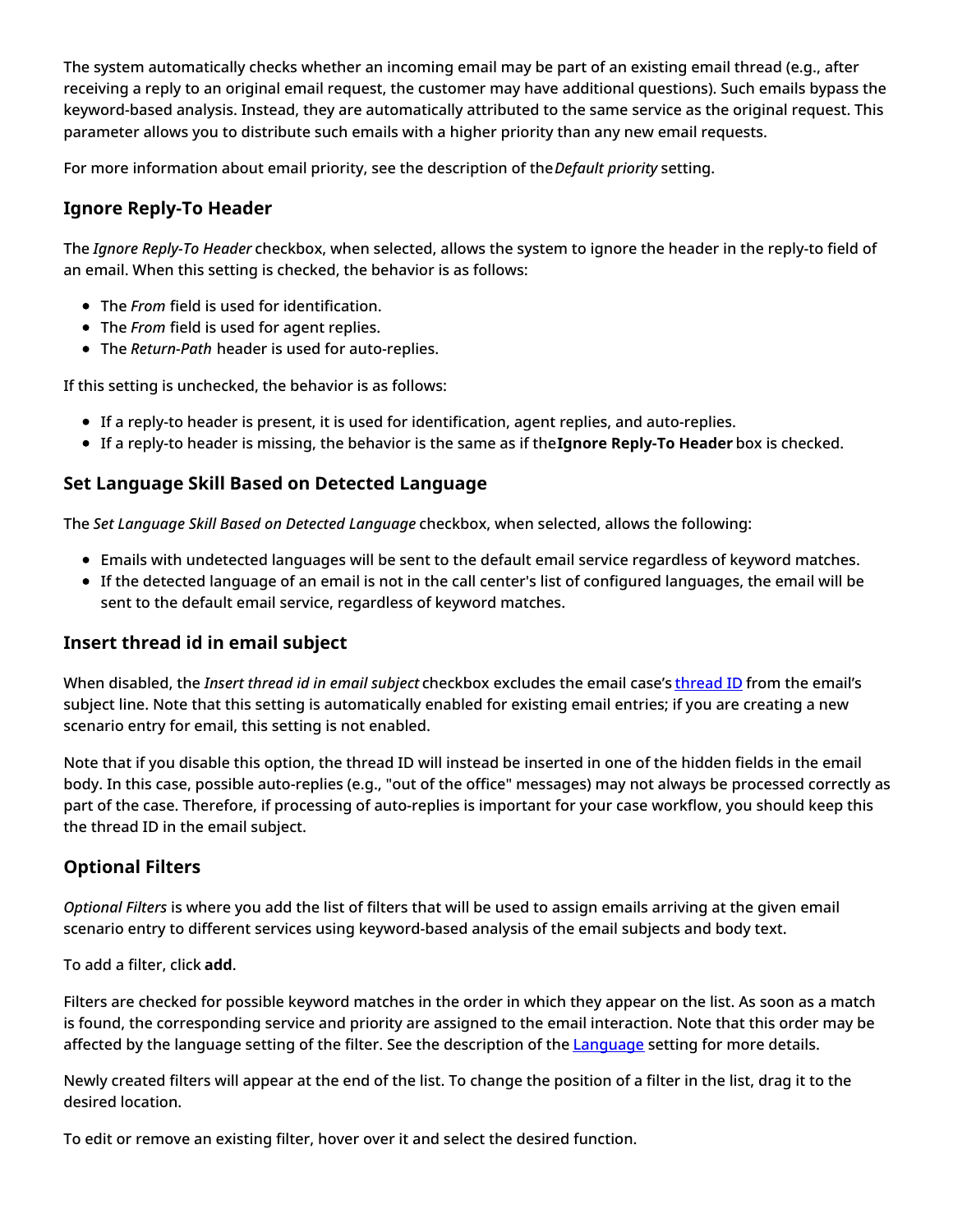The system automatically checks whether an incoming email may be part of an existing email thread (e.g., after receiving a reply to an original email request, the customer may have additional questions). Such emails bypass the keyword-based analysis. Instead, they are automatically attributed to the same service as the original request. This parameter allows you to distribute such emails with a higher priority than any new email requests.

For more information about email priority, see the description of the*Default priority* setting.

### <span id="page-11-0"></span>**Ignore Reply-To Header**

The *Ignore Reply-To Header* checkbox, when selected, allows the system to ignore the header in the reply-to field of an email. When this setting is checked, the behavior is as follows:

- The *From* field is used for identification.
- The *From* field is used for agent replies.
- The *Return-Path* header is used for auto-replies.

If this setting is unchecked, the behavior is as follows:

- If a reply-to header is present, it is used for identification, agent replies, and auto-replies.
- If a reply-to header is missing, the behavior is the same as if the**Ignore Reply-To Header** box is checked.

### <span id="page-11-1"></span>**Set Language Skill Based on Detected Language**

The *Set Language Skill Based on Detected Language* checkbox, when selected, allows the following:

- Emails with undetected languages will be sent to the default email service regardless of keyword matches.
- If the detected language of an email is not in the call center's list of configured languages, the email will be sent to the default email service, regardless of keyword matches.

### <span id="page-11-2"></span>**Insert thread id in email subject**

When disabled, the *Insert thread id in email subject* checkbox excludes the email case's [thread](https://help.brightpattern.com/5.3:Agent-guide/UnderstandingEmailCasesandThreads#Threads) ID from the email's subject line. Note that this setting is automatically enabled for existing email entries; if you are creating a new scenario entry for email, this setting is not enabled.

Note that if you disable this option, the thread ID will instead be inserted in one of the hidden fields in the email body. In this case, possible auto-replies (e.g., "out of the office" messages) may not always be processed correctly as part of the case. Therefore, if processing of auto-replies is important for your case workflow, you should keep this the thread ID in the email subject.

### <span id="page-11-3"></span>**Optional Filters**

*Optional Filters* is where you add the list of filters that will be used to assign emails arriving at the given email scenario entry to different services using keyword-based analysis of the email subjects and body text.

To add a filter, click **add**.

Filters are checked for possible keyword matches in the order in which they appear on the list. As soon as a match is found, the corresponding service and priority are assigned to the email interaction. Note that this order may be affected by the language setting of the filter. See the description of the **[Language](https://help.brightpattern.com/5.3:Contact-center-administrator-guide/ServicesandCampaigns/EmailTab/?action=html-localimages-export#Language) setting for more details.** 

Newly created filters will appear at the end of the list. To change the position of a filter in the list, drag it to the desired location.

To edit or remove an existing filter, hover over it and select the desired function.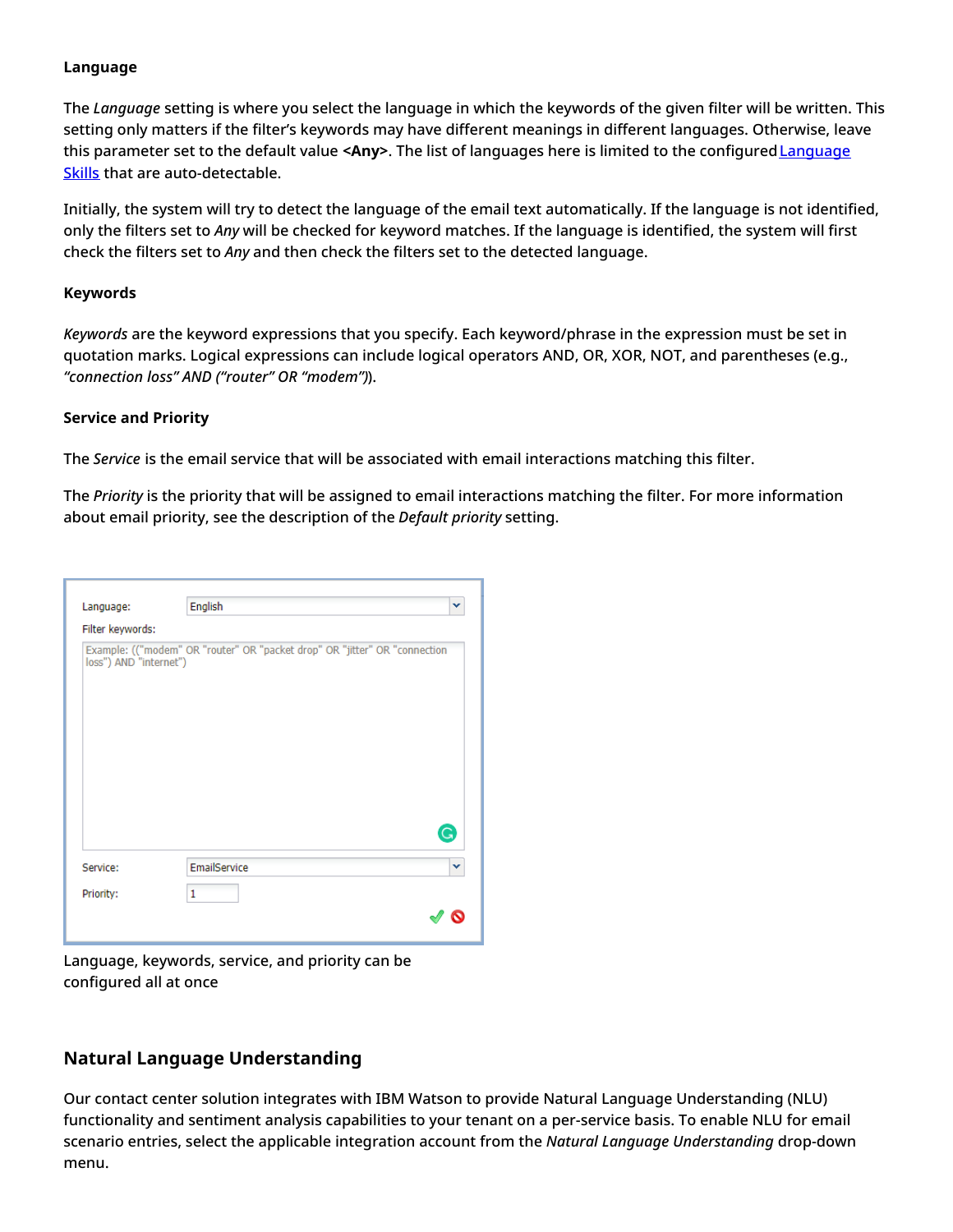### <span id="page-12-0"></span>**Language**

The *Language* setting is where you select the language in which the keywords of the given filter will be written. This setting only matters if the filter's keywords may have different meanings in different languages. Otherwise, leave this parameter set to the default value **<Any>**. The list of languages here is limited to the [configuredLanguage](https://help.brightpattern.com/5.3:Contact-center-administrator-guide/ServicesandCampaigns/EmailTab/?action=html-localimages-export#topic_contact-center-administrator-guide.2Flanguageskills) Skills that are auto-detectable.

Initially, the system will try to detect the language of the email text automatically. If the language is not identified, only the filters set to *Any* will be checked for keyword matches. If the language is identified, the system will first check the filters set to *Any* and then check the filters set to the detected language.

### <span id="page-12-1"></span>**Keywords**

*Keywords* are the keyword expressions that you specify. Each keyword/phrase in the expression must be set in quotation marks. Logical expressions can include logical operators AND, OR, XOR, NOT, and parentheses (e.g., *"connection loss" AND ("router" OR "modem")*).

### <span id="page-12-2"></span>**Service and Priority**

The *Service* is the email service that will be associated with email interactions matching this filter.

The *Priority* is the priority that will be assigned to email interactions matching the filter. For more information about email priority, see the description of the *Default priority* setting.

| Language:              | English                                                                    | v |
|------------------------|----------------------------------------------------------------------------|---|
| Filter keywords:       |                                                                            |   |
| loss") AND "internet") | Example: (("modem" OR "router" OR "packet drop" OR "jitter" OR "connection |   |
|                        |                                                                            | G |
| Service:               | EmailService                                                               | v |
| Priority:              | 1                                                                          |   |

Language, keywords, service, and priority can be configured all at once

### <span id="page-12-3"></span>**Natural Language Understanding**

Our contact center solution integrates with IBM Watson to provide Natural Language Understanding (NLU) functionality and sentiment analysis capabilities to your tenant on a per-service basis. To enable NLU for email scenario entries, select the applicable integration account from the *Natural Language Understanding* drop-down menu.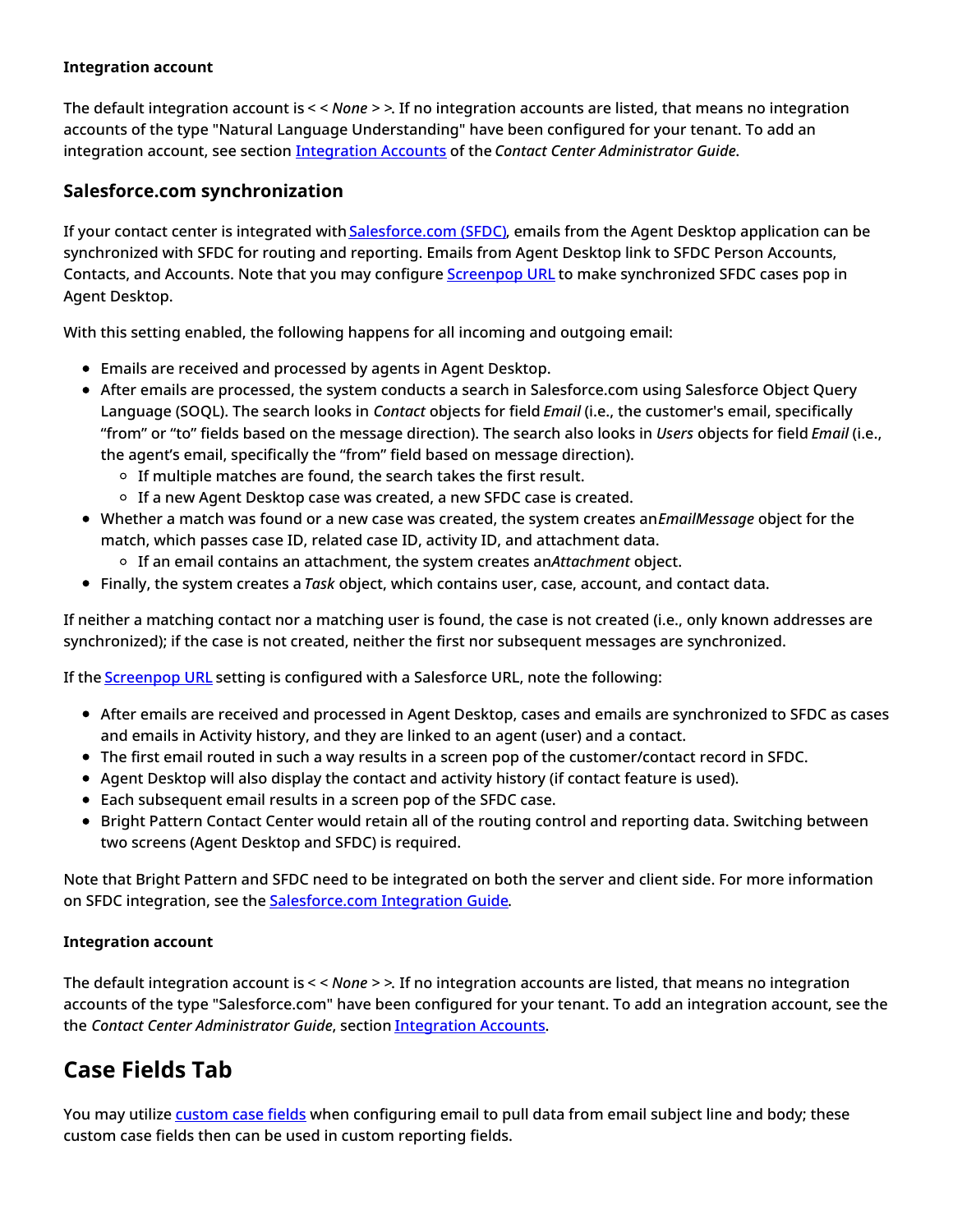### <span id="page-13-0"></span>**Integration account**

The default integration account is *< < None > >*. If no integration accounts are listed, that means no integration accounts of the type "Natural Language Understanding" have been configured for your tenant. To add an integration account, see section [Integration](https://help.brightpattern.com/5.3:Contact-center-administrator-guide/ServicesandCampaigns/EmailTab/?action=html-localimages-export#topic_contact-center-administrator-guide.2Fintegrationaccounts) Accounts of the *Contact Center Administrator Guide*.

### <span id="page-13-1"></span>**Salesforce.com synchronization**

If your contact center is integrated with [Salesforce.com](https://help.brightpattern.com/5.3:Contact-center-administrator-guide/ServicesandCampaigns/EmailTab/?action=html-localimages-export#topic_contact-center-administrator-guide.2Fcallcenterconfiguration.2Fintegrationaccounts.2Fsalesforce.com) (SFDC), emails from the Agent Desktop application can be synchronized with SFDC for routing and reporting. Emails from Agent Desktop link to SFDC Person Accounts, Contacts, and Accounts. Note that you may configure [Screenpop](https://help.brightpattern.com/5.3:Contact-center-administrator-guide/ServicesandCampaigns/EmailTab#Screenpop_URL) URL to make synchronized SFDC cases pop in Agent Desktop.

With this setting enabled, the following happens for all incoming and outgoing email:

- Emails are received and processed by agents in Agent Desktop.
- After emails are processed, the system conducts a search in Salesforce.com using Salesforce Object Query Language (SOQL). The search looks in *Contact* objects for field *Email* (i.e., the customer's email, specifically "from" or "to" fields based on the message direction). The search also looks in *Users* objects for field *Email* (i.e., the agent's email, specifically the "from" field based on message direction).
	- $\circ$  If multiple matches are found, the search takes the first result.
	- $\circ$  If a new Agent Desktop case was created, a new SFDC case is created.
- Whether a match was found or a new case was created, the system creates an*EmailMessage* object for the match, which passes case ID, related case ID, activity ID, and attachment data.
	- If an email contains an attachment, the system creates an*Attachment* object.
- Finally, the system creates a *Task* object, which contains user, case, account, and contact data.

If neither a matching contact nor a matching user is found, the case is not created (i.e., only known addresses are synchronized); if the case is not created, neither the first nor subsequent messages are synchronized.

If the [Screenpop](https://help.brightpattern.com/5.3:Contact-center-administrator-guide/ServicesandCampaigns/EmailTab#Screenpop_URL) URL setting is configured with a Salesforce URL, note the following:

- After emails are received and processed in Agent Desktop, cases and emails are synchronized to SFDC as cases and emails in Activity history, and they are linked to an agent (user) and a contact.
- The first email routed in such a way results in a screen pop of the customer/contact record in SFDC.
- Agent Desktop will also display the contact and activity history (if contact feature is used).
- Each subsequent email results in a screen pop of the SFDC case.
- Bright Pattern Contact Center would retain all of the routing control and reporting data. Switching between two screens (Agent Desktop and SFDC) is required.

Note that Bright Pattern and SFDC need to be integrated on both the server and client side. For more information on SFDC integration, see the **[Salesforce.com](https://help.brightpattern.com/5.3:Contact-center-administrator-guide/ServicesandCampaigns/EmailTab/?action=html-localimages-export#topic_sfdc-integration-guide.2Fpurpose) Integration Guide**.

### <span id="page-13-2"></span>**Integration account**

The default integration account is *< < None > >*. If no integration accounts are listed, that means no integration accounts of the type "Salesforce.com" have been configured for your tenant. To add an integration account, see the the *Contact Center Administrator Guide*, section [Integration](https://help.brightpattern.com/5.3:Contact-center-administrator-guide/ServicesandCampaigns/EmailTab/?action=html-localimages-export#topic_contact-center-administrator-guide.2Fintegrationaccounts) Accounts.

## <span id="page-13-3"></span>**Case Fields Tab**

You may utilize [custom](https://help.brightpattern.com/5.3:Contact-center-administrator-guide/ServicesandCampaigns/EmailTab/?action=html-localimages-export#topic_contact-center-administrator-guide.2Fcustomfields) case fields when configuring email to pull data from email subject line and body; these custom case fields then can be used in custom reporting fields.